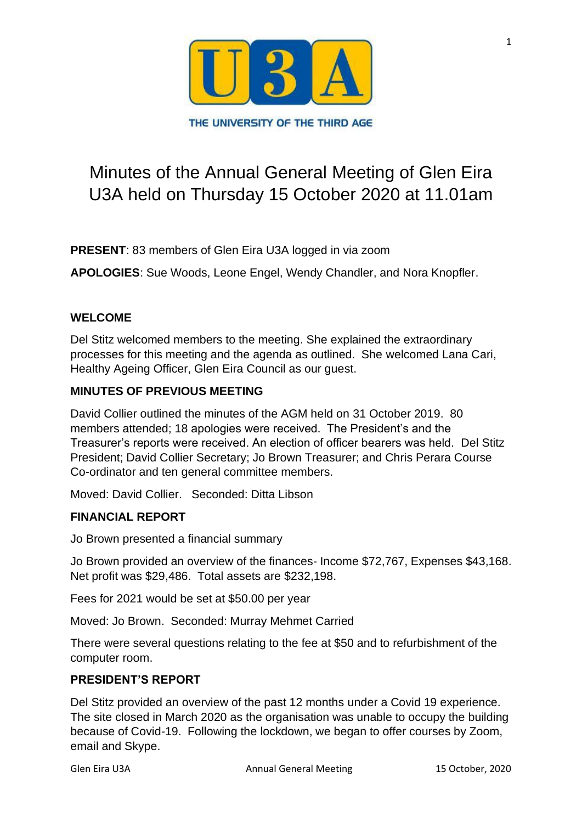

# Minutes of the Annual General Meeting of Glen Eira U3A held on Thursday 15 October 2020 at 11.01am

**PRESENT**: 83 members of Glen Eira U3A logged in via zoom

**APOLOGIES**: Sue Woods, Leone Engel, Wendy Chandler, and Nora Knopfler.

# **WELCOME**

Del Stitz welcomed members to the meeting. She explained the extraordinary processes for this meeting and the agenda as outlined. She welcomed Lana Cari, Healthy Ageing Officer, Glen Eira Council as our guest.

## **MINUTES OF PREVIOUS MEETING**

David Collier outlined the minutes of the AGM held on 31 October 2019. 80 members attended; 18 apologies were received. The President's and the Treasurer's reports were received. An election of officer bearers was held. Del Stitz President; David Collier Secretary; Jo Brown Treasurer; and Chris Perara Course Co-ordinator and ten general committee members.

Moved: David Collier. Seconded: Ditta Libson

### **FINANCIAL REPORT**

Jo Brown presented a financial summary

Jo Brown provided an overview of the finances- Income \$72,767, Expenses \$43,168. Net profit was \$29,486. Total assets are \$232,198.

Fees for 2021 would be set at \$50.00 per year

Moved: Jo Brown. Seconded: Murray Mehmet Carried

There were several questions relating to the fee at \$50 and to refurbishment of the computer room.

# **PRESIDENT'S REPORT**

Del Stitz provided an overview of the past 12 months under a Covid 19 experience. The site closed in March 2020 as the organisation was unable to occupy the building because of Covid-19. Following the lockdown, we began to offer courses by Zoom, email and Skype.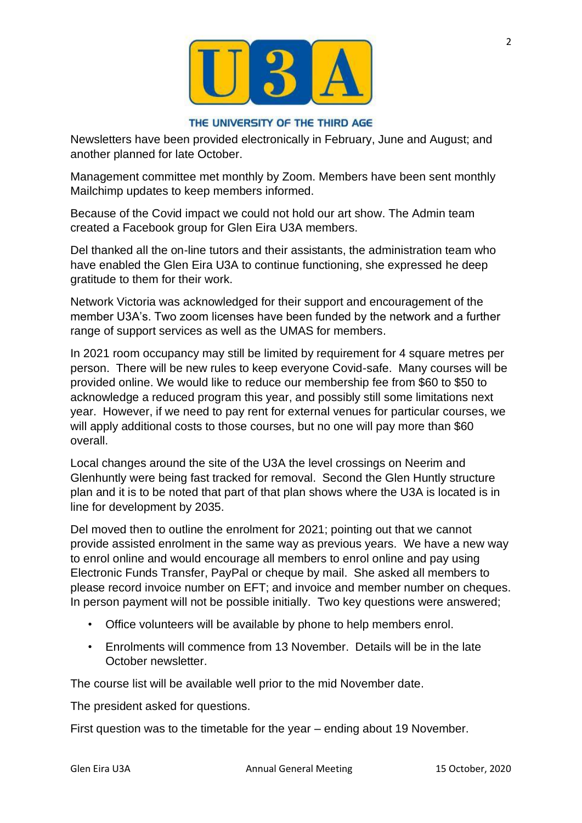

#### THE UNIVERSITY OF THE THIRD AGE

Newsletters have been provided electronically in February, June and August; and another planned for late October.

Management committee met monthly by Zoom. Members have been sent monthly Mailchimp updates to keep members informed.

Because of the Covid impact we could not hold our art show. The Admin team created a Facebook group for Glen Eira U3A members.

Del thanked all the on-line tutors and their assistants, the administration team who have enabled the Glen Eira U3A to continue functioning, she expressed he deep gratitude to them for their work.

Network Victoria was acknowledged for their support and encouragement of the member U3A's. Two zoom licenses have been funded by the network and a further range of support services as well as the UMAS for members.

In 2021 room occupancy may still be limited by requirement for 4 square metres per person. There will be new rules to keep everyone Covid-safe. Many courses will be provided online. We would like to reduce our membership fee from \$60 to \$50 to acknowledge a reduced program this year, and possibly still some limitations next year. However, if we need to pay rent for external venues for particular courses, we will apply additional costs to those courses, but no one will pay more than \$60 overall.

Local changes around the site of the U3A the level crossings on Neerim and Glenhuntly were being fast tracked for removal. Second the Glen Huntly structure plan and it is to be noted that part of that plan shows where the U3A is located is in line for development by 2035.

Del moved then to outline the enrolment for 2021; pointing out that we cannot provide assisted enrolment in the same way as previous years. We have a new way to enrol online and would encourage all members to enrol online and pay using Electronic Funds Transfer, PayPal or cheque by mail. She asked all members to please record invoice number on EFT; and invoice and member number on cheques. In person payment will not be possible initially. Two key questions were answered;

- Office volunteers will be available by phone to help members enrol.
- Enrolments will commence from 13 November. Details will be in the late October newsletter.

The course list will be available well prior to the mid November date.

The president asked for questions.

First question was to the timetable for the year – ending about 19 November.

2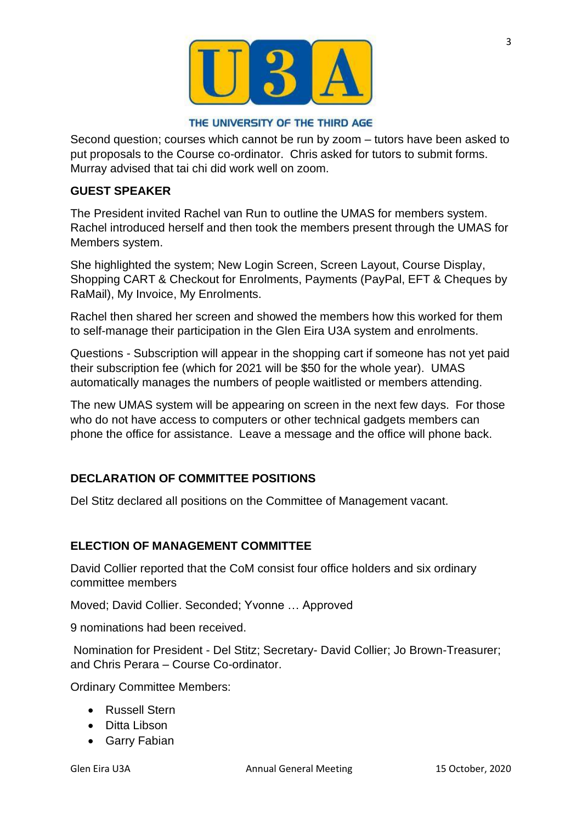

#### THE UNIVERSITY OF THE THIRD AGE

Second question; courses which cannot be run by zoom – tutors have been asked to put proposals to the Course co-ordinator. Chris asked for tutors to submit forms. Murray advised that tai chi did work well on zoom.

## **GUEST SPEAKER**

The President invited Rachel van Run to outline the UMAS for members system. Rachel introduced herself and then took the members present through the UMAS for Members system.

She highlighted the system; New Login Screen, Screen Layout, Course Display, Shopping CART & Checkout for Enrolments, Payments (PayPal, EFT & Cheques by RaMail), My Invoice, My Enrolments.

Rachel then shared her screen and showed the members how this worked for them to self-manage their participation in the Glen Eira U3A system and enrolments.

Questions - Subscription will appear in the shopping cart if someone has not yet paid their subscription fee (which for 2021 will be \$50 for the whole year). UMAS automatically manages the numbers of people waitlisted or members attending.

The new UMAS system will be appearing on screen in the next few days. For those who do not have access to computers or other technical gadgets members can phone the office for assistance. Leave a message and the office will phone back.

## **DECLARATION OF COMMITTEE POSITIONS**

Del Stitz declared all positions on the Committee of Management vacant.

#### **ELECTION OF MANAGEMENT COMMITTEE**

David Collier reported that the CoM consist four office holders and six ordinary committee members

Moved; David Collier. Seconded; Yvonne … Approved

9 nominations had been received.

Nomination for President - Del Stitz; Secretary- David Collier; Jo Brown-Treasurer; and Chris Perara – Course Co-ordinator.

Ordinary Committee Members:

- Russell Stern
- Ditta Libson
- Garry Fabian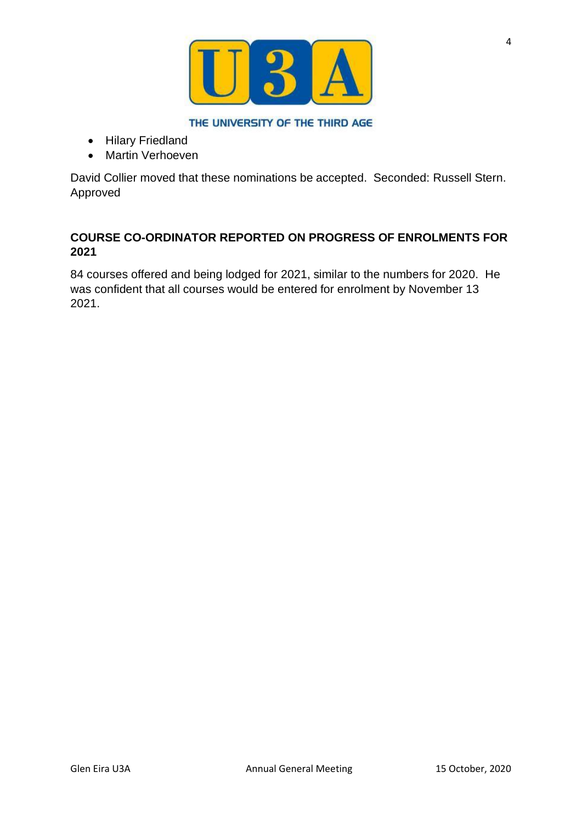

THE UNIVERSITY OF THE THIRD AGE

- Hilary Friedland
- Martin Verhoeven

David Collier moved that these nominations be accepted. Seconded: Russell Stern. Approved

# **COURSE CO-ORDINATOR REPORTED ON PROGRESS OF ENROLMENTS FOR 2021**

84 courses offered and being lodged for 2021, similar to the numbers for 2020. He was confident that all courses would be entered for enrolment by November 13 2021.